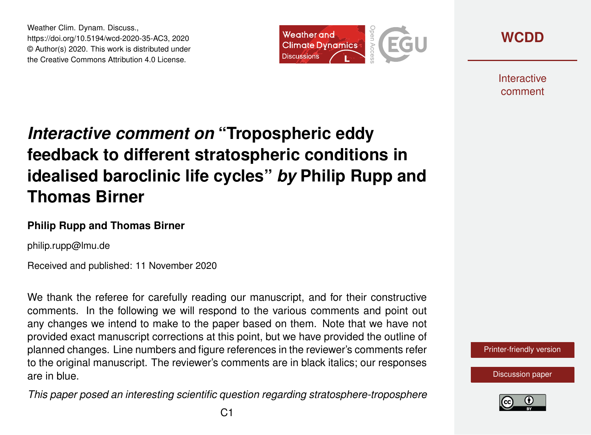Weather Clim. Dynam. Discuss., https://doi.org/10.5194/wcd-2020-35-AC3, 2020 © Author(s) 2020. This work is distributed under the Creative Commons Attribution 4.0 License.





**Interactive** comment

# *Interactive comment on* **"Tropospheric eddy feedback to different stratospheric conditions in idealised baroclinic life cycles"** *by* **Philip Rupp and Thomas Birner**

#### **Philip Rupp and Thomas Birner**

philip.rupp@lmu.de

Received and published: 11 November 2020

We thank the referee for carefully reading our manuscript, and for their constructive comments. In the following we will respond to the various comments and point out any changes we intend to make to the paper based on them. Note that we have not provided exact manuscript corrections at this point, but we have provided the outline of planned changes. Line numbers and figure references in the reviewer's comments refer to the original manuscript. The reviewer's comments are in black italics; our responses are in blue.

*This paper posed an interesting scientific question regarding stratosphere-troposphere*



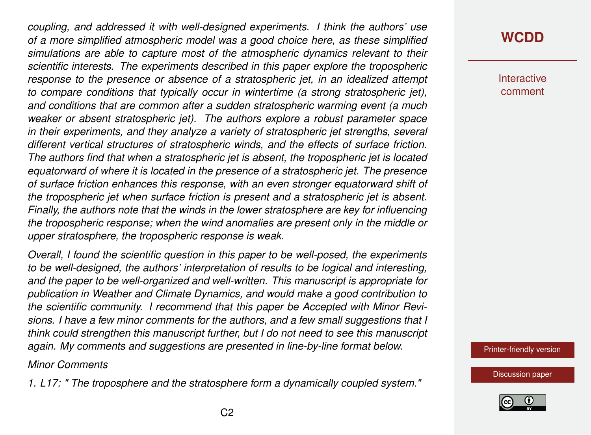*coupling, and addressed it with well-designed experiments. I think the authors' use of a more simplified atmospheric model was a good choice here, as these simplified simulations are able to capture most of the atmospheric dynamics relevant to their scientific interests. The experiments described in this paper explore the tropospheric response to the presence or absence of a stratospheric jet, in an idealized attempt to compare conditions that typically occur in wintertime (a strong stratospheric jet), and conditions that are common after a sudden stratospheric warming event (a much weaker or absent stratospheric jet). The authors explore a robust parameter space in their experiments, and they analyze a variety of stratospheric jet strengths, several different vertical structures of stratospheric winds, and the effects of surface friction. The authors find that when a stratospheric jet is absent, the tropospheric jet is located equatorward of where it is located in the presence of a stratospheric jet. The presence of surface friction enhances this response, with an even stronger equatorward shift of the tropospheric jet when surface friction is present and a stratospheric jet is absent. Finally, the authors note that the winds in the lower stratosphere are key for influencing the tropospheric response; when the wind anomalies are present only in the middle or upper stratosphere, the tropospheric response is weak.*

*Overall, I found the scientific question in this paper to be well-posed, the experiments to be well-designed, the authors' interpretation of results to be logical and interesting, and the paper to be well-organized and well-written. This manuscript is appropriate for publication in Weather and Climate Dynamics, and would make a good contribution to the scientific community. I recommend that this paper be Accepted with Minor Revisions. I have a few minor comments for the authors, and a few small suggestions that I think could strengthen this manuscript further, but I do not need to see this manuscript again. My comments and suggestions are presented in line-by-line format below.*

#### *Minor Comments*

*1. L17: " The troposphere and the stratosphere form a dynamically coupled system."*

#### **[WCDD](https://wcd.copernicus.org/preprints/)**

**Interactive** comment

[Printer-friendly version](https://wcd.copernicus.org/preprints/wcd-2020-35/wcd-2020-35-AC3-print.pdf)

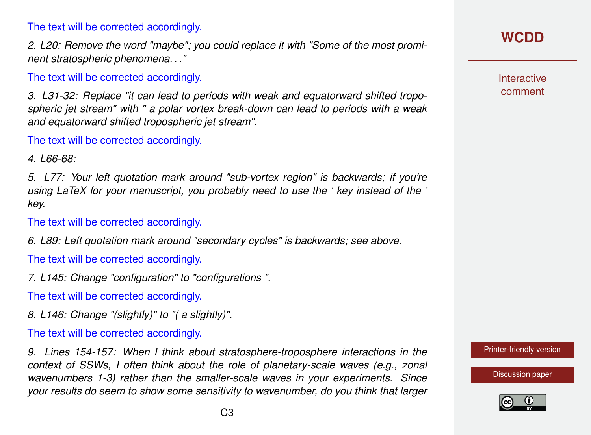The text will be corrected accordingly.

*2. L20: Remove the word "maybe"; you could replace it with "Some of the most prominent stratospheric phenomena*. . .*"*

The text will be corrected accordingly.

*3. L31-32: Replace "it can lead to periods with weak and equatorward shifted tropospheric jet stream" with " a polar vortex break-down can lead to periods with a weak and equatorward shifted tropospheric jet stream".*

The text will be corrected accordingly.

*4. L66-68:*

*5. L77: Your left quotation mark around "sub-vortex region" is backwards; if you're using LaTeX for your manuscript, you probably need to use the ' key instead of the ' key.*

The text will be corrected accordingly.

*6. L89: Left quotation mark around "secondary cycles" is backwards; see above.*

The text will be corrected accordingly.

*7. L145: Change "configuration" to "configurations ".*

The text will be corrected accordingly.

*8. L146: Change "(slightly)" to "( a slightly)".*

The text will be corrected accordingly.

*9. Lines 154-157: When I think about stratosphere-troposphere interactions in the context of SSWs, I often think about the role of planetary-scale waves (e.g., zonal wavenumbers 1-3) rather than the smaller-scale waves in your experiments. Since your results do seem to show some sensitivity to wavenumber, do you think that larger*

## **[WCDD](https://wcd.copernicus.org/preprints/)**

**Interactive** comment

[Printer-friendly version](https://wcd.copernicus.org/preprints/wcd-2020-35/wcd-2020-35-AC3-print.pdf)

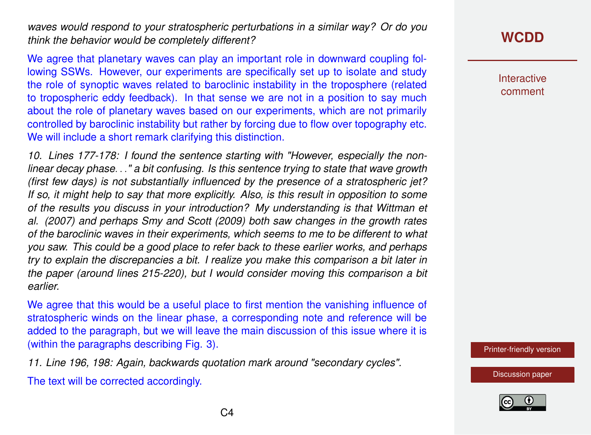*waves would respond to your stratospheric perturbations in a similar way? Or do you think the behavior would be completely different?*

We agree that planetary waves can play an important role in downward coupling following SSWs. However, our experiments are specifically set up to isolate and study the role of synoptic waves related to baroclinic instability in the troposphere (related to tropospheric eddy feedback). In that sense we are not in a position to say much about the role of planetary waves based on our experiments, which are not primarily controlled by baroclinic instability but rather by forcing due to flow over topography etc. We will include a short remark clarifying this distinction.

*10. Lines 177-178: I found the sentence starting with "However, especially the nonlinear decay phase*. . .*" a bit confusing. Is this sentence trying to state that wave growth (first few days) is not substantially influenced by the presence of a stratospheric jet? If so, it might help to say that more explicitly. Also, is this result in opposition to some of the results you discuss in your introduction? My understanding is that Wittman et al. (2007) and perhaps Smy and Scott (2009) both saw changes in the growth rates of the baroclinic waves in their experiments, which seems to me to be different to what you saw. This could be a good place to refer back to these earlier works, and perhaps try to explain the discrepancies a bit. I realize you make this comparison a bit later in the paper (around lines 215-220), but I would consider moving this comparison a bit earlier.*

We agree that this would be a useful place to first mention the vanishing influence of stratospheric winds on the linear phase, a corresponding note and reference will be added to the paragraph, but we will leave the main discussion of this issue where it is (within the paragraphs describing Fig. 3).

*11. Line 196, 198: Again, backwards quotation mark around "secondary cycles".*

The text will be corrected accordingly.

## **[WCDD](https://wcd.copernicus.org/preprints/)**

**Interactive** comment

[Printer-friendly version](https://wcd.copernicus.org/preprints/wcd-2020-35/wcd-2020-35-AC3-print.pdf)

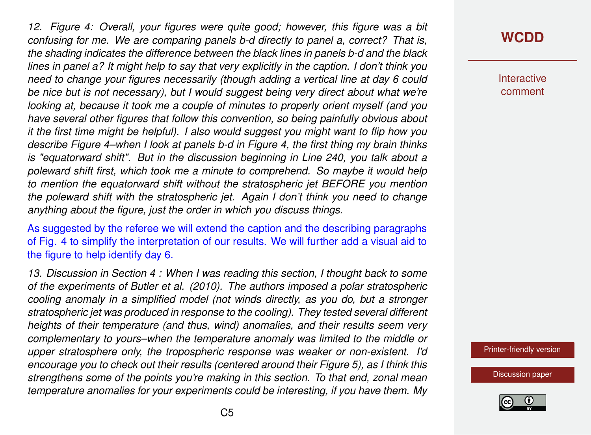*12. Figure 4: Overall, your figures were quite good; however, this figure was a bit confusing for me. We are comparing panels b-d directly to panel a, correct? That is, the shading indicates the difference between the black lines in panels b-d and the black lines in panel a? It might help to say that very explicitly in the caption. I don't think you need to change your figures necessarily (though adding a vertical line at day 6 could be nice but is not necessary), but I would suggest being very direct about what we're looking at, because it took me a couple of minutes to properly orient myself (and you have several other figures that follow this convention, so being painfully obvious about it the first time might be helpful). I also would suggest you might want to flip how you describe Figure 4–when I look at panels b-d in Figure 4, the first thing my brain thinks is "equatorward shift". But in the discussion beginning in Line 240, you talk about a poleward shift first, which took me a minute to comprehend. So maybe it would help to mention the equatorward shift without the stratospheric jet BEFORE you mention the poleward shift with the stratospheric jet. Again I don't think you need to change anything about the figure, just the order in which you discuss things.*

As suggested by the referee we will extend the caption and the describing paragraphs of Fig. 4 to simplify the interpretation of our results. We will further add a visual aid to the figure to help identify day 6.

*13. Discussion in Section 4 : When I was reading this section, I thought back to some of the experiments of Butler et al. (2010). The authors imposed a polar stratospheric cooling anomaly in a simplified model (not winds directly, as you do, but a stronger stratospheric jet was produced in response to the cooling). They tested several different heights of their temperature (and thus, wind) anomalies, and their results seem very complementary to yours–when the temperature anomaly was limited to the middle or upper stratosphere only, the tropospheric response was weaker or non-existent. I'd encourage you to check out their results (centered around their Figure 5), as I think this strengthens some of the points you're making in this section. To that end, zonal mean temperature anomalies for your experiments could be interesting, if you have them. My*

#### **[WCDD](https://wcd.copernicus.org/preprints/)**

**Interactive** comment

[Printer-friendly version](https://wcd.copernicus.org/preprints/wcd-2020-35/wcd-2020-35-AC3-print.pdf)

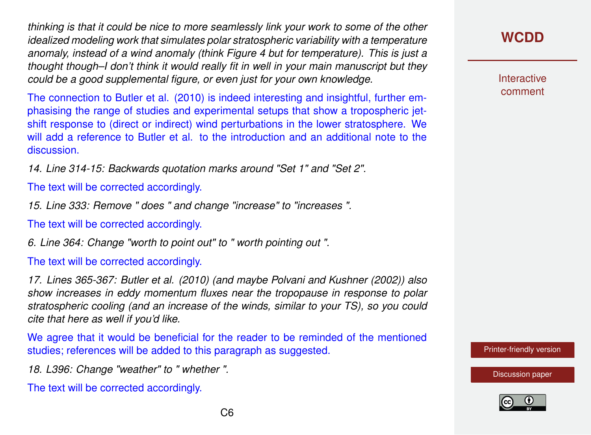*thinking is that it could be nice to more seamlessly link your work to some of the other idealized modeling work that simulates polar stratospheric variability with a temperature anomaly, instead of a wind anomaly (think Figure 4 but for temperature). This is just a thought though–I don't think it would really fit in well in your main manuscript but they could be a good supplemental figure, or even just for your own knowledge.*

The connection to Butler et al. (2010) is indeed interesting and insightful, further emphasising the range of studies and experimental setups that show a tropospheric jetshift response to (direct or indirect) wind perturbations in the lower stratosphere. We will add a reference to Butler et al. to the introduction and an additional note to the discussion.

*14. Line 314-15: Backwards quotation marks around "Set 1" and "Set 2".*

The text will be corrected accordingly.

*15. Line 333: Remove " does " and change "increase" to "increases ".*

The text will be corrected accordingly.

*6. Line 364: Change "worth to point out" to " worth pointing out ".*

The text will be corrected accordingly.

*17. Lines 365-367: Butler et al. (2010) (and maybe Polvani and Kushner (2002)) also show increases in eddy momentum fluxes near the tropopause in response to polar stratospheric cooling (and an increase of the winds, similar to your TS), so you could cite that here as well if you'd like.*

We agree that it would be beneficial for the reader to be reminded of the mentioned studies; references will be added to this paragraph as suggested.

*18. L396: Change "weather" to " whether ".*

The text will be corrected accordingly.

**Interactive** comment

[Printer-friendly version](https://wcd.copernicus.org/preprints/wcd-2020-35/wcd-2020-35-AC3-print.pdf)

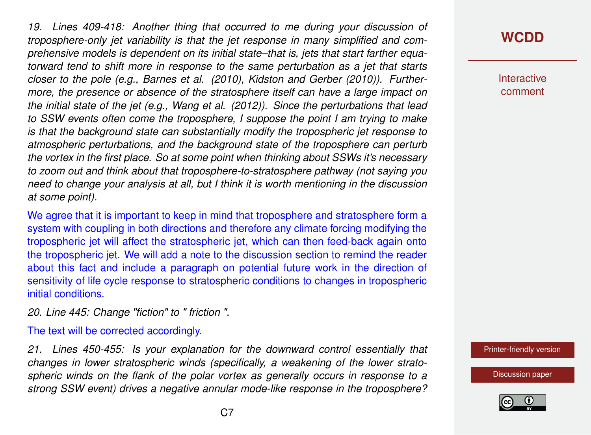*19. Lines 409-418: Another thing that occurred to me during your discussion of troposphere-only jet variability is that the jet response in many simplified and comprehensive models is dependent on its initial state–that is, jets that start farther equatorward tend to shift more in response to the same perturbation as a jet that starts closer to the pole (e.g., Barnes et al. (2010), Kidston and Gerber (2010)). Furthermore, the presence or absence of the stratosphere itself can have a large impact on the initial state of the jet (e.g., Wang et al. (2012)). Since the perturbations that lead to SSW events often come the troposphere, I suppose the point I am trying to make is that the background state can substantially modify the tropospheric jet response to atmospheric perturbations, and the background state of the troposphere can perturb the vortex in the first place. So at some point when thinking about SSWs it's necessary to zoom out and think about that troposphere-to-stratosphere pathway (not saying you need to change your analysis at all, but I think it is worth mentioning in the discussion at some point).*

We agree that it is important to keep in mind that troposphere and stratosphere form a system with coupling in both directions and therefore any climate forcing modifying the tropospheric jet will affect the stratospheric jet, which can then feed-back again onto the tropospheric jet. We will add a note to the discussion section to remind the reader about this fact and include a paragraph on potential future work in the direction of sensitivity of life cycle response to stratospheric conditions to changes in tropospheric initial conditions.

*20. Line 445: Change "fiction" to " friction ".*

The text will be corrected accordingly.

*21. Lines 450-455: Is your explanation for the downward control essentially that changes in lower stratospheric winds (specifically, a weakening of the lower stratospheric winds on the flank of the polar vortex as generally occurs in response to a strong SSW event) drives a negative annular mode-like response in the troposphere?*

## **[WCDD](https://wcd.copernicus.org/preprints/)**

**Interactive** comment

[Printer-friendly version](https://wcd.copernicus.org/preprints/wcd-2020-35/wcd-2020-35-AC3-print.pdf)